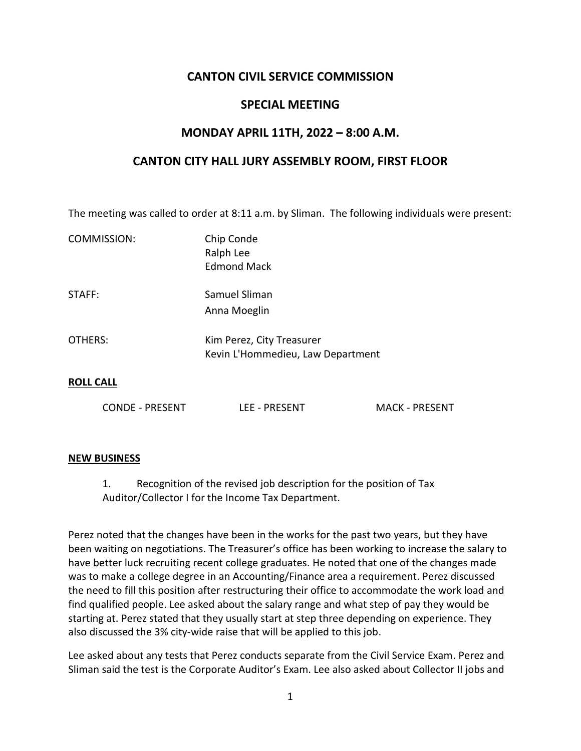# **CANTON CIVIL SERVICE COMMISSION**

### **SPECIAL MEETING**

## **MONDAY APRIL 11TH, 2022 – 8:00 A.M.**

### **CANTON CITY HALL JURY ASSEMBLY ROOM, FIRST FLOOR**

The meeting was called to order at 8:11 a.m. by Sliman. The following individuals were present:

| COMMISSION:      | Chip Conde<br>Ralph Lee<br><b>Edmond Mack</b>                  |
|------------------|----------------------------------------------------------------|
| STAFF:           | Samuel Sliman<br>Anna Moeglin                                  |
| OTHERS:          | Kim Perez, City Treasurer<br>Kevin L'Hommedieu, Law Department |
| <b>ROLL CALL</b> |                                                                |

#### **NEW BUSINESS**

1. Recognition of the revised job description for the position of Tax Auditor/Collector I for the Income Tax Department.

CONDE - PRESENT LEE - PRESENT MACK - PRESENT

Perez noted that the changes have been in the works for the past two years, but they have been waiting on negotiations. The Treasurer's office has been working to increase the salary to have better luck recruiting recent college graduates. He noted that one of the changes made was to make a college degree in an Accounting/Finance area a requirement. Perez discussed the need to fill this position after restructuring their office to accommodate the work load and find qualified people. Lee asked about the salary range and what step of pay they would be starting at. Perez stated that they usually start at step three depending on experience. They also discussed the 3% city-wide raise that will be applied to this job.

Lee asked about any tests that Perez conducts separate from the Civil Service Exam. Perez and Sliman said the test is the Corporate Auditor's Exam. Lee also asked about Collector II jobs and